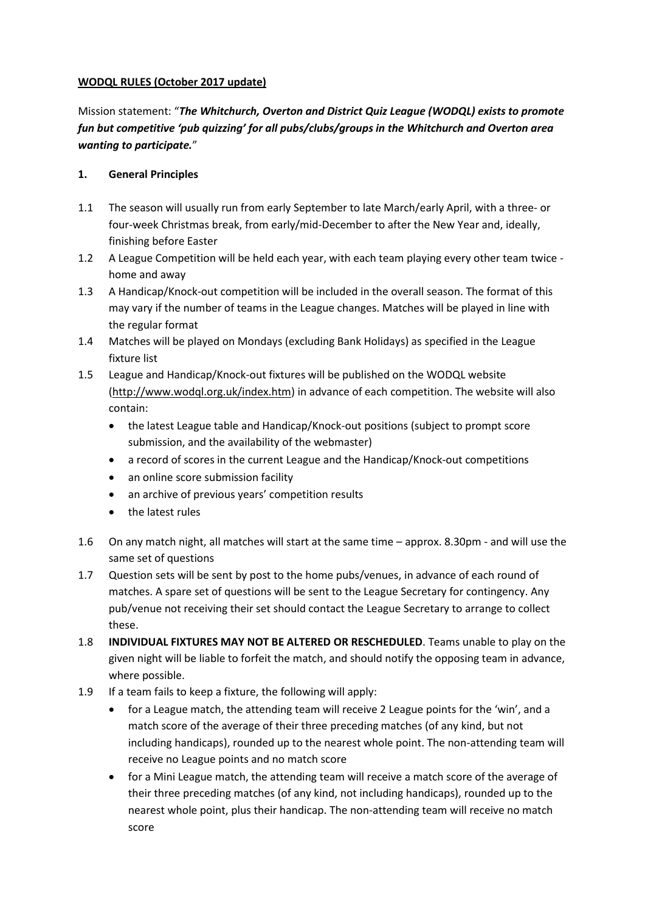## **WODQL RULES (October 2017 update)**

Mission statement: "*The Whitchurch, Overton and District Quiz League (WODQL) exists to promote fun but competitive 'pub quizzing' for all pubs/clubs/groups in the Whitchurch and Overton area wanting to participate.*"

## **1. General Principles**

- 1.1 The season will usually run from early September to late March/early April, with a three- or four-week Christmas break, from early/mid-December to after the New Year and, ideally, finishing before Easter
- 1.2 A League Competition will be held each year, with each team playing every other team twice home and away
- 1.3 A Handicap/Knock-out competition will be included in the overall season. The format of this may vary if the number of teams in the League changes. Matches will be played in line with the regular format
- 1.4 Matches will be played on Mondays (excluding Bank Holidays) as specified in the League fixture list
- 1.5 League and Handicap/Knock-out fixtures will be published on the WODQL website [\(http://www.wodql.org.uk/index.htm\)](http://www.wodql.org.uk/index.htm) in advance of each competition. The website will also contain:
	- the latest League table and Handicap/Knock-out positions (subject to prompt score submission, and the availability of the webmaster)
	- a record of scores in the current League and the Handicap/Knock-out competitions
	- an online score submission facility
	- an archive of previous years' competition results
	- the latest rules
- 1.6 On any match night, all matches will start at the same time approx. 8.30pm and will use the same set of questions
- 1.7 Question sets will be sent by post to the home pubs/venues, in advance of each round of matches. A spare set of questions will be sent to the League Secretary for contingency. Any pub/venue not receiving their set should contact the League Secretary to arrange to collect these.
- 1.8 **INDIVIDUAL FIXTURES MAY NOT BE ALTERED OR RESCHEDULED**. Teams unable to play on the given night will be liable to forfeit the match, and should notify the opposing team in advance, where possible.
- 1.9 If a team fails to keep a fixture, the following will apply:
	- for a League match, the attending team will receive 2 League points for the 'win', and a match score of the average of their three preceding matches (of any kind, but not including handicaps), rounded up to the nearest whole point. The non-attending team will receive no League points and no match score
	- for a Mini League match, the attending team will receive a match score of the average of their three preceding matches (of any kind, not including handicaps), rounded up to the nearest whole point, plus their handicap. The non-attending team will receive no match score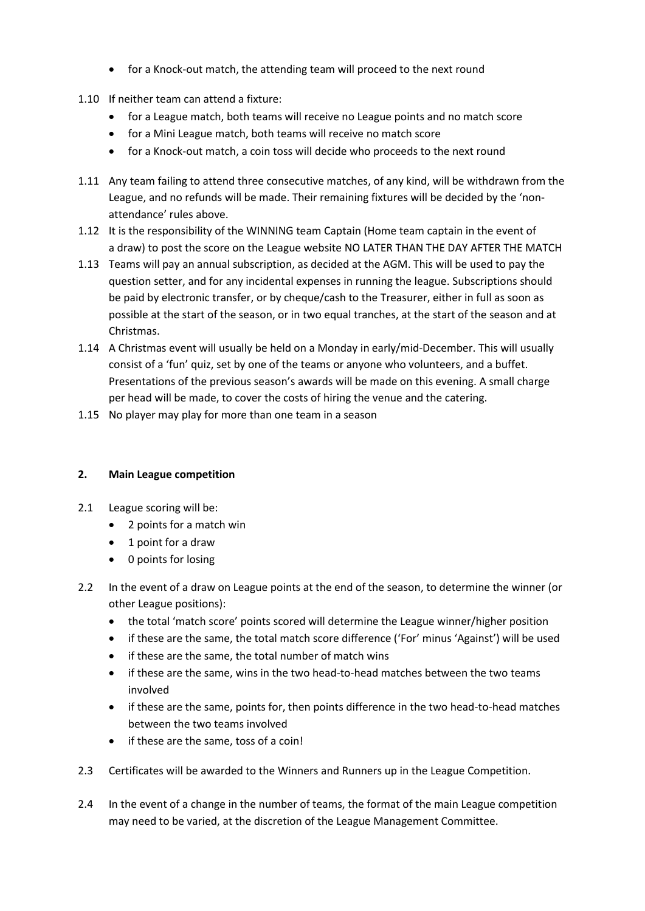- for a Knock-out match, the attending team will proceed to the next round
- 1.10 If neither team can attend a fixture:
	- for a League match, both teams will receive no League points and no match score
	- for a Mini League match, both teams will receive no match score
	- for a Knock-out match, a coin toss will decide who proceeds to the next round
- 1.11 Any team failing to attend three consecutive matches, of any kind, will be withdrawn from the League, and no refunds will be made. Their remaining fixtures will be decided by the 'nonattendance' rules above.
- 1.12 It is the responsibility of the WINNING team Captain (Home team captain in the event of a draw) to post the score on the League website NO LATER THAN THE DAY AFTER THE MATCH
- 1.13 Teams will pay an annual subscription, as decided at the AGM. This will be used to pay the question setter, and for any incidental expenses in running the league. Subscriptions should be paid by electronic transfer, or by cheque/cash to the Treasurer, either in full as soon as possible at the start of the season, or in two equal tranches, at the start of the season and at Christmas.
- 1.14 A Christmas event will usually be held on a Monday in early/mid-December. This will usually consist of a 'fun' quiz, set by one of the teams or anyone who volunteers, and a buffet. Presentations of the previous season's awards will be made on this evening. A small charge per head will be made, to cover the costs of hiring the venue and the catering.
- 1.15 No player may play for more than one team in a season

## **2. Main League competition**

- 2.1 League scoring will be:
	- 2 points for a match win
	- 1 point for a draw
	- 0 points for losing
- 2.2 In the event of a draw on League points at the end of the season, to determine the winner (or other League positions):
	- the total 'match score' points scored will determine the League winner/higher position
	- if these are the same, the total match score difference ('For' minus 'Against') will be used
	- if these are the same, the total number of match wins
	- if these are the same, wins in the two head-to-head matches between the two teams involved
	- if these are the same, points for, then points difference in the two head-to-head matches between the two teams involved
	- if these are the same, toss of a coin!
- 2.3 Certificates will be awarded to the Winners and Runners up in the League Competition.
- 2.4 In the event of a change in the number of teams, the format of the main League competition may need to be varied, at the discretion of the League Management Committee.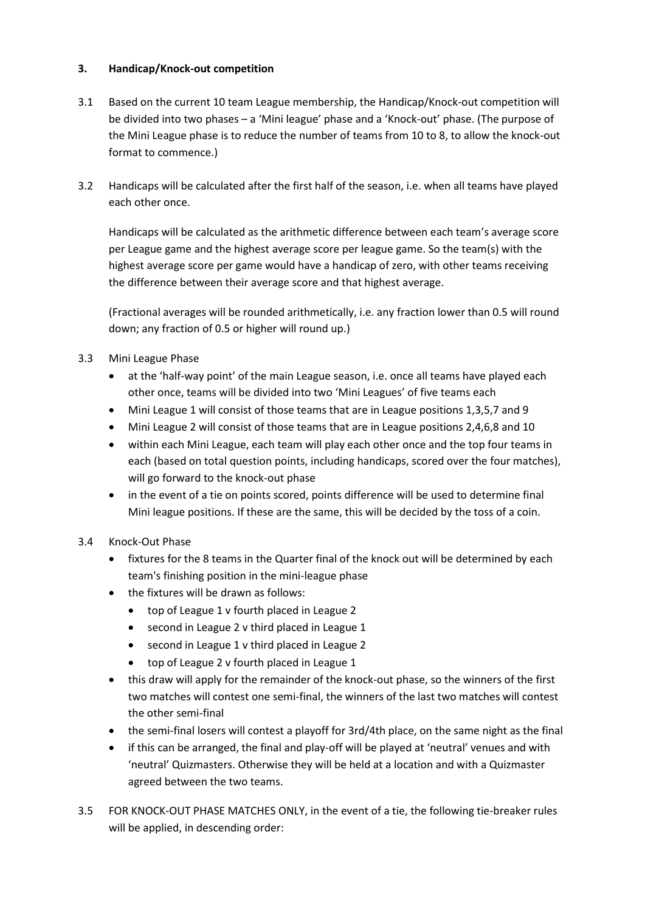## **3. Handicap/Knock-out competition**

- 3.1 Based on the current 10 team League membership, the Handicap/Knock-out competition will be divided into two phases – a 'Mini league' phase and a 'Knock-out' phase. (The purpose of the Mini League phase is to reduce the number of teams from 10 to 8, to allow the knock-out format to commence.)
- 3.2 Handicaps will be calculated after the first half of the season, i.e. when all teams have played each other once.

Handicaps will be calculated as the arithmetic difference between each team's average score per League game and the highest average score per league game. So the team(s) with the highest average score per game would have a handicap of zero, with other teams receiving the difference between their average score and that highest average.

(Fractional averages will be rounded arithmetically, i.e. any fraction lower than 0.5 will round down; any fraction of 0.5 or higher will round up.)

- 3.3 Mini League Phase
	- at the 'half-way point' of the main League season, i.e. once all teams have played each other once, teams will be divided into two 'Mini Leagues' of five teams each
	- Mini League 1 will consist of those teams that are in League positions 1,3,5,7 and 9
	- Mini League 2 will consist of those teams that are in League positions 2,4,6,8 and 10
	- within each Mini League, each team will play each other once and the top four teams in each (based on total question points, including handicaps, scored over the four matches), will go forward to the knock-out phase
	- in the event of a tie on points scored, points difference will be used to determine final Mini league positions. If these are the same, this will be decided by the toss of a coin.
- 3.4 Knock-Out Phase
	- fixtures for the 8 teams in the Quarter final of the knock out will be determined by each team's finishing position in the mini-league phase
	- the fixtures will be drawn as follows:
		- top of League 1 v fourth placed in League 2
		- second in League 2 v third placed in League 1
		- second in League 1 v third placed in League 2
		- top of League 2 v fourth placed in League 1
	- this draw will apply for the remainder of the knock-out phase, so the winners of the first two matches will contest one semi-final, the winners of the last two matches will contest the other semi-final
	- the semi-final losers will contest a playoff for 3rd/4th place, on the same night as the final
	- if this can be arranged, the final and play-off will be played at 'neutral' venues and with 'neutral' Quizmasters. Otherwise they will be held at a location and with a Quizmaster agreed between the two teams.
- 3.5 FOR KNOCK-OUT PHASE MATCHES ONLY, in the event of a tie, the following tie-breaker rules will be applied, in descending order: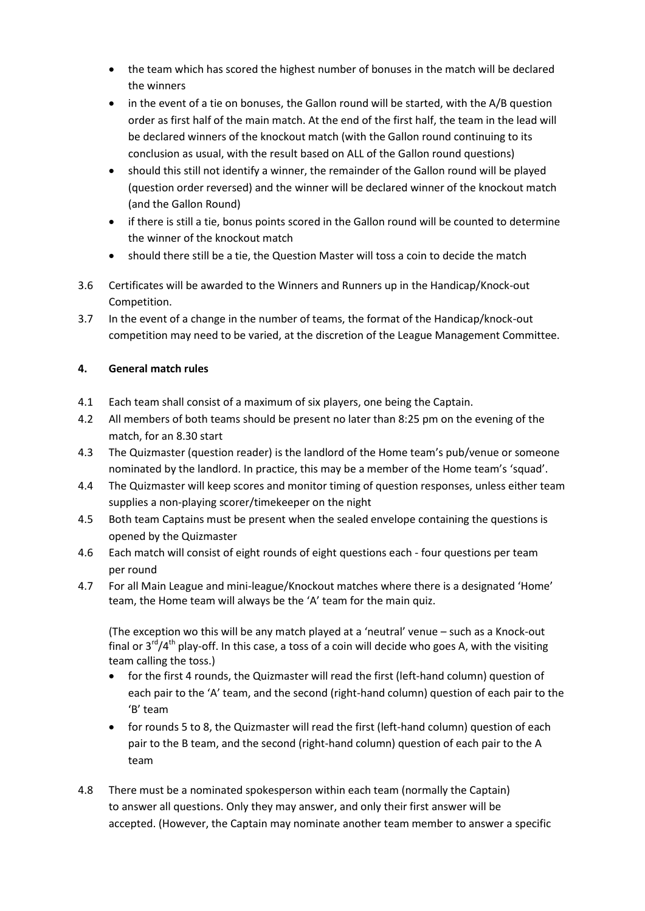- the team which has scored the highest number of bonuses in the match will be declared the winners
- in the event of a tie on bonuses, the Gallon round will be started, with the A/B question order as first half of the main match. At the end of the first half, the team in the lead will be declared winners of the knockout match (with the Gallon round continuing to its conclusion as usual, with the result based on ALL of the Gallon round questions)
- should this still not identify a winner, the remainder of the Gallon round will be played (question order reversed) and the winner will be declared winner of the knockout match (and the Gallon Round)
- if there is still a tie, bonus points scored in the Gallon round will be counted to determine the winner of the knockout match
- should there still be a tie, the Question Master will toss a coin to decide the match
- 3.6 Certificates will be awarded to the Winners and Runners up in the Handicap/Knock-out Competition.
- 3.7 In the event of a change in the number of teams, the format of the Handicap/knock-out competition may need to be varied, at the discretion of the League Management Committee.

# **4. General match rules**

- 4.1 Each team shall consist of a maximum of six players, one being the Captain.
- 4.2 All members of both teams should be present no later than 8:25 pm on the evening of the match, for an 8.30 start
- 4.3 The Quizmaster (question reader) is the landlord of the Home team's pub/venue or someone nominated by the landlord. In practice, this may be a member of the Home team's 'squad'.
- 4.4 The Quizmaster will keep scores and monitor timing of question responses, unless either team supplies a non-playing scorer/timekeeper on the night
- 4.5 Both team Captains must be present when the sealed envelope containing the questions is opened by the Quizmaster
- 4.6 Each match will consist of eight rounds of eight questions each four questions per team per round
- 4.7 For all Main League and mini-league/Knockout matches where there is a designated 'Home' team, the Home team will always be the 'A' team for the main quiz.

(The exception wo this will be any match played at a 'neutral' venue – such as a Knock-out final or  $3<sup>rd</sup>/4<sup>th</sup>$  play-off. In this case, a toss of a coin will decide who goes A, with the visiting team calling the toss.)

- for the first 4 rounds, the Quizmaster will read the first (left-hand column) question of each pair to the 'A' team, and the second (right-hand column) question of each pair to the 'B' team
- for rounds 5 to 8, the Quizmaster will read the first (left-hand column) question of each pair to the B team, and the second (right-hand column) question of each pair to the A team
- 4.8 There must be a nominated spokesperson within each team (normally the Captain) to answer all questions. Only they may answer, and only their first answer will be accepted. (However, the Captain may nominate another team member to answer a specific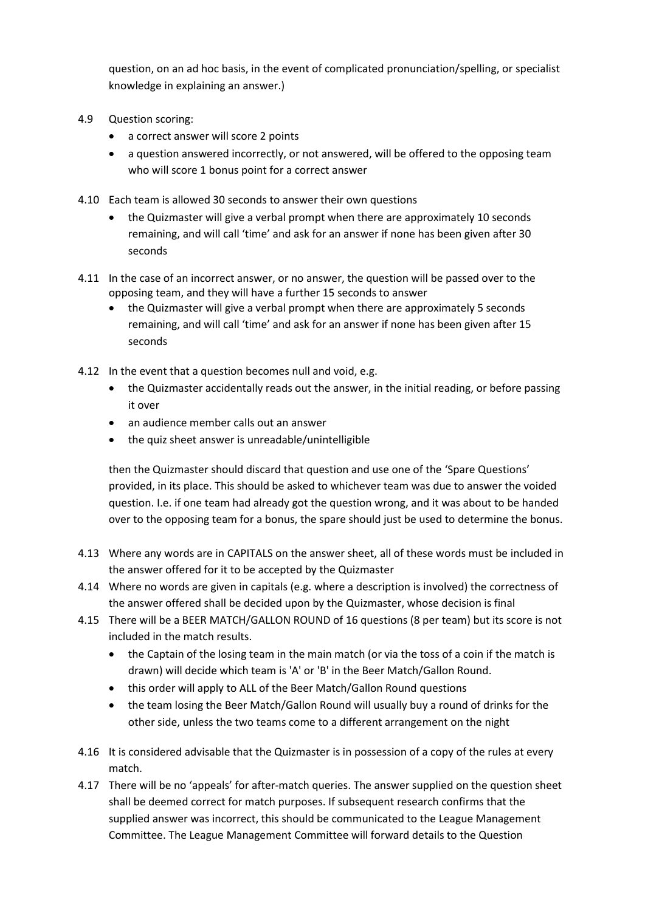question, on an ad hoc basis, in the event of complicated pronunciation/spelling, or specialist knowledge in explaining an answer.)

- 4.9 Question scoring:
	- a correct answer will score 2 points
	- a question answered incorrectly, or not answered, will be offered to the opposing team who will score 1 bonus point for a correct answer
- 4.10 Each team is allowed 30 seconds to answer their own questions
	- the Quizmaster will give a verbal prompt when there are approximately 10 seconds remaining, and will call 'time' and ask for an answer if none has been given after 30 seconds
- 4.11 In the case of an incorrect answer, or no answer, the question will be passed over to the opposing team, and they will have a further 15 seconds to answer
	- the Quizmaster will give a verbal prompt when there are approximately 5 seconds remaining, and will call 'time' and ask for an answer if none has been given after 15 seconds
- 4.12 In the event that a question becomes null and void, e.g.
	- the Quizmaster accidentally reads out the answer, in the initial reading, or before passing it over
	- an audience member calls out an answer
	- the quiz sheet answer is unreadable/unintelligible

then the Quizmaster should discard that question and use one of the 'Spare Questions' provided, in its place. This should be asked to whichever team was due to answer the voided question. I.e. if one team had already got the question wrong, and it was about to be handed over to the opposing team for a bonus, the spare should just be used to determine the bonus.

- 4.13 Where any words are in CAPITALS on the answer sheet, all of these words must be included in the answer offered for it to be accepted by the Quizmaster
- 4.14 Where no words are given in capitals (e.g. where a description is involved) the correctness of the answer offered shall be decided upon by the Quizmaster, whose decision is final
- 4.15 There will be a BEER MATCH/GALLON ROUND of 16 questions (8 per team) but its score is not included in the match results.
	- the Captain of the losing team in the main match (or via the toss of a coin if the match is drawn) will decide which team is 'A' or 'B' in the Beer Match/Gallon Round.
	- this order will apply to ALL of the Beer Match/Gallon Round questions
	- the team losing the Beer Match/Gallon Round will usually buy a round of drinks for the other side, unless the two teams come to a different arrangement on the night
- 4.16 It is considered advisable that the Quizmaster is in possession of a copy of the rules at every match.
- 4.17 There will be no 'appeals' for after-match queries. The answer supplied on the question sheet shall be deemed correct for match purposes. If subsequent research confirms that the supplied answer was incorrect, this should be communicated to the League Management Committee. The League Management Committee will forward details to the Question